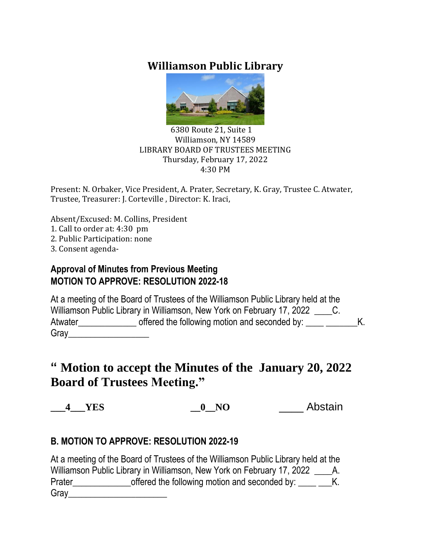# **Williamson Public Library**



#### 6380 Route 21, Suite 1 Williamson, NY 14589 LIBRARY BOARD OF TRUSTEES MEETING Thursday, February 17, 2022 4:30 PM

Present: N. Orbaker, Vice President, A. Prater, Secretary, K. Gray, Trustee C. Atwater, Trustee, Treasurer: J. Corteville , Director: K. Iraci,

Absent/Excused: M. Collins, President

- 1. Call to order at: 4:30 pm
- 2. Public Participation: none
- 3. Consent agenda-

#### **Approval of Minutes from Previous Meeting MOTION TO APPROVE: RESOLUTION 2022-18**

|         | At a meeting of the Board of Trustees of the Williamson Public Library held at the |  |
|---------|------------------------------------------------------------------------------------|--|
|         | Williamson Public Library in Williamson, New York on February 17, 2022             |  |
| Atwater | offered the following motion and seconded by:                                      |  |
| Gray    |                                                                                    |  |

# **" Motion to accept the Minutes of the January 20, 2022 Board of Trustees Meeting."**

**\_\_\_4\_\_\_YES \_\_0\_\_NO** \_\_\_\_ Abstain

### **B. MOTION TO APPROVE: RESOLUTION 2022-19**

At a meeting of the Board of Trustees of the Williamson Public Library held at the Williamson Public Library in Williamson, New York on February 17, 2022 \_\_\_\_\_\_\_A. Prater\_\_\_\_\_\_\_\_\_\_\_\_\_\_\_\_\_\_\_\_offered the following motion and seconded by: \_\_\_\_\_ \_\_\_K. Gray\_\_\_\_\_\_\_\_\_\_\_\_\_\_\_\_\_\_\_\_\_\_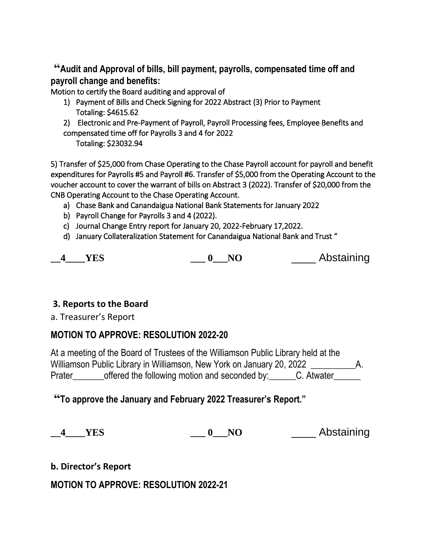**"Audit and Approval of bills, bill payment, payrolls, compensated time off and payroll change and benefits:**

Motion to certify the Board auditing and approval of

- 1) Payment of Bills and Check Signing for 2022 Abstract (3) Prior to Payment Totaling: \$4615.62
- 2) Electronic and Pre-Payment of Payroll, Payroll Processing fees, Employee Benefits and compensated time off for Payrolls 3 and 4 for 2022

Totaling: \$23032.94

5) Transfer of \$25,000 from Chase Operating to the Chase Payroll account for payroll and benefit expenditures for Payrolls #5 and Payroll #6. Transfer of \$5,000 from the Operating Account to the voucher account to cover the warrant of bills on Abstract 3 (2022). Transfer of \$20,000 from the CNB Operating Account to the Chase Operating Account.

- a) Chase Bank and Canandaigua National Bank Statements for January 2022
- b) Payroll Change for Payrolls 3 and 4 (2022).
- c) Journal Change Entry report for January 20, 2022-February 17,2022.
- d) January Collateralization Statement for Canandaigua National Bank and Trust "

|  |  |  | Abstaining |
|--|--|--|------------|
|--|--|--|------------|

#### **3. Reports to the Board**

a. Treasurer's Report

#### **MOTION TO APPROVE: RESOLUTION 2022-20**

|        | At a meeting of the Board of Trustees of the Williamson Public Library held at the |  |
|--------|------------------------------------------------------------------------------------|--|
|        | Williamson Public Library in Williamson, New York on January 20, 2022              |  |
| Prater | offered the following motion and seconded by:<br>C. Atwater                        |  |

**"To approve the January and February 2022 Treasurer's Report."**

**\_\_4\_\_\_\_YES \_\_\_ 0\_\_\_NO** \_\_\_\_ Abstaining

**b. Director's Report**

**MOTION TO APPROVE: RESOLUTION 2022-21**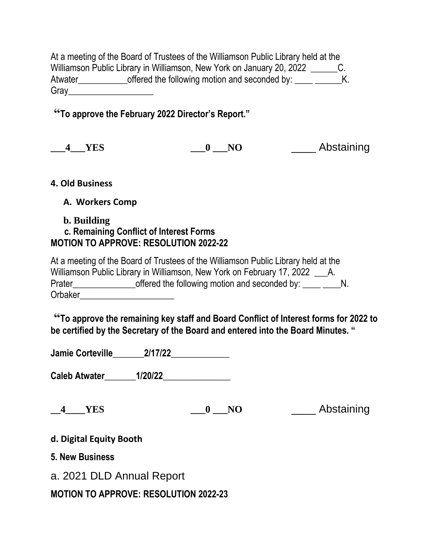At a meeting of the Board of Trustees of the Williamson Public Library held at the Williamson Public Library in Williamson, New York on January 20, 2022 \_\_\_\_\_\_\_\_\_C. Atwater\_\_\_\_\_\_\_\_\_\_\_\_\_offered the following motion and seconded by: \_\_\_\_\_\_\_\_\_\_\_\_K. Gray\_\_\_\_\_\_\_\_\_\_\_\_\_\_\_\_\_\_\_

# **"To approve the February 2022 Director's Report."**

| <b>YES</b> |  | Abstaining |
|------------|--|------------|
|------------|--|------------|

#### **4. Old Business**

**A. Workers Comp**

#### **b. Building**

### **c. Remaining Conflict of Interest Forms MOTION TO APPROVE: RESOLUTION 2022-22**

|         | At a meeting of the Board of Trustees of the Williamson Public Library held at the |           |
|---------|------------------------------------------------------------------------------------|-----------|
|         | Williamson Public Library in Williamson, New York on February 17, 2022             | <b>A.</b> |
| Prater  | offered the following motion and seconded by:                                      |           |
| Orbaker |                                                                                    |           |

**"To approve the remaining key staff and Board Conflict of Interest forms for 2022 to be certified by the Secretary of the Board and entered into the Board Minutes. "**

**Jamie Corteville\_\_\_\_\_\_\_2/17/22\_\_\_\_\_\_\_\_\_\_\_\_\_**

**Caleb Atwater\_\_\_\_\_\_\_1/20/22\_\_\_\_\_\_\_\_\_\_\_\_\_\_\_**

**\_\_4\_\_\_\_YES \_\_\_0 \_\_\_NO** \_\_\_\_ Abstaining

#### **d. Digital Equity Booth**

**5. New Business**

a. 2021 DLD Annual Report

**MOTION TO APPROVE: RESOLUTION 2022-23**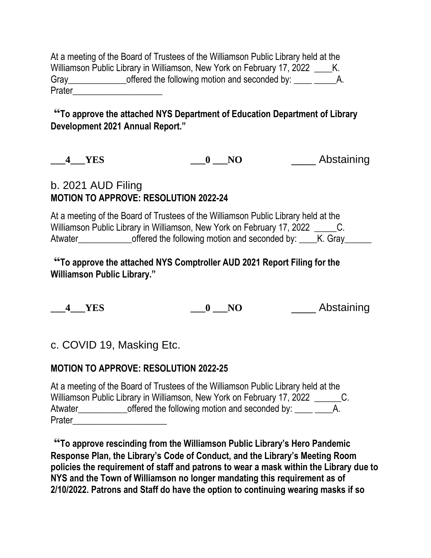At a meeting of the Board of Trustees of the Williamson Public Library held at the Williamson Public Library in Williamson, New York on February 17, 2022 K. Gray\_\_\_\_\_\_\_\_\_\_\_\_\_\_\_\_offered the following motion and seconded by: \_\_\_\_ \_\_\_\_\_\_\_\_\_A. Prater\_\_\_\_\_\_\_\_\_\_\_\_\_\_\_\_\_\_\_\_

### **"To approve the attached NYS Department of Education Department of Library Development 2021 Annual Report."**

**\_\_\_4\_\_\_YES \_\_\_0 \_\_\_NO** \_\_\_\_ Abstaining

# b. 2021 AUD Filing **MOTION TO APPROVE: RESOLUTION 2022-24**

At a meeting of the Board of Trustees of the Williamson Public Library held at the Williamson Public Library in Williamson, New York on February 17, 2022 C. Atwater\_\_\_\_\_\_\_\_\_\_\_\_\_\_offered the following motion and seconded by: \_\_\_\_K. Gray\_\_\_\_\_\_

**"To approve the attached NYS Comptroller AUD 2021 Report Filing for the Williamson Public Library."**

**\_\_\_4\_\_\_YES \_\_\_0 \_\_\_NO** \_\_\_\_ Abstaining

c. COVID 19, Masking Etc.

### **MOTION TO APPROVE: RESOLUTION 2022-25**

|         | At a meeting of the Board of Trustees of the Williamson Public Library held at the |    |
|---------|------------------------------------------------------------------------------------|----|
|         | Williamson Public Library in Williamson, New York on February 17, 2022             | Ü. |
| Atwater | offered the following motion and seconded by:                                      | A. |
| Prater  |                                                                                    |    |

**"To approve rescinding from the Williamson Public Library's Hero Pandemic Response Plan, the Library's Code of Conduct, and the Library's Meeting Room policies the requirement of staff and patrons to wear a mask within the Library due to NYS and the Town of Williamson no longer mandating this requirement as of 2/10/2022. Patrons and Staff do have the option to continuing wearing masks if so**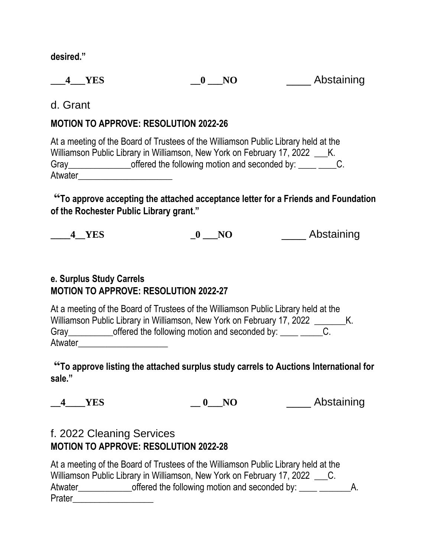**desired."**

**\_\_\_4\_\_\_YES \_\_0 \_\_\_NO** \_\_\_\_ Abstaining

d. Grant

### **MOTION TO APPROVE: RESOLUTION 2022-26**

At a meeting of the Board of Trustees of the Williamson Public Library held at the Williamson Public Library in Williamson, New York on February 17, 2022 K. Gray\_\_\_\_\_\_\_\_\_\_\_\_\_\_\_\_\_\_offered the following motion and seconded by: \_\_\_\_ \_\_\_\_\_C. Atwater

**"To approve accepting the attached acceptance letter for a Friends and Foundation of the Rochester Public Library grant."**

| 4 YES | NO | Abstaining |
|-------|----|------------|
|       |    |            |

### **e. Surplus Study Carrels MOTION TO APPROVE: RESOLUTION 2022-27**

At a meeting of the Board of Trustees of the Williamson Public Library held at the Williamson Public Library in Williamson, New York on February 17, 2022 \_\_\_\_\_\_\_\_ K. Gray\_\_\_\_\_\_\_\_\_\_\_\_offered the following motion and seconded by: \_\_\_\_ \_\_\_\_\_\_C. Atwater

**"To approve listing the attached surplus study carrels to Auctions International for sale."**

**\_\_4\_\_\_\_YES \_\_ 0\_\_\_NO** \_\_\_\_ Abstaining

## f. 2022 Cleaning Services **MOTION TO APPROVE: RESOLUTION 2022-28**

|         | At a meeting of the Board of Trustees of the Williamson Public Library held at the |    |
|---------|------------------------------------------------------------------------------------|----|
|         | Williamson Public Library in Williamson, New York on February 17, 2022 C.          |    |
| Atwater | offered the following motion and seconded by:                                      | А. |
| Prater  |                                                                                    |    |